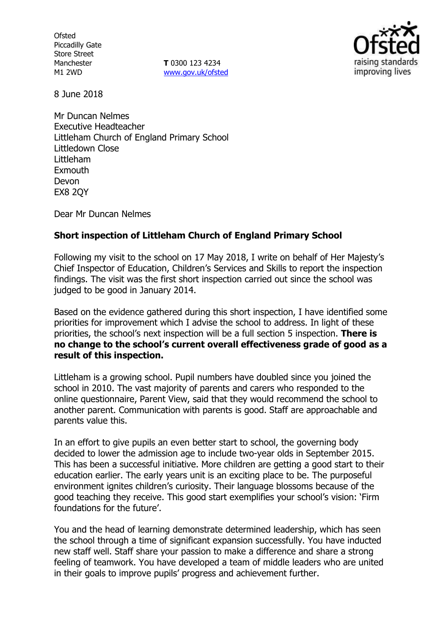**Ofsted** Piccadilly Gate Store Street Manchester M1 2WD

**T** 0300 123 4234 www.gov.uk/ofsted



8 June 2018

Mr Duncan Nelmes Executive Headteacher Littleham Church of England Primary School Littledown Close Littleham Exmouth Devon EX8 2QY

Dear Mr Duncan Nelmes

# **Short inspection of Littleham Church of England Primary School**

Following my visit to the school on 17 May 2018, I write on behalf of Her Majesty's Chief Inspector of Education, Children's Services and Skills to report the inspection findings. The visit was the first short inspection carried out since the school was judged to be good in January 2014.

Based on the evidence gathered during this short inspection, I have identified some priorities for improvement which I advise the school to address. In light of these priorities, the school's next inspection will be a full section 5 inspection. **There is no change to the school's current overall effectiveness grade of good as a result of this inspection.**

Littleham is a growing school. Pupil numbers have doubled since you joined the school in 2010. The vast majority of parents and carers who responded to the online questionnaire, Parent View, said that they would recommend the school to another parent. Communication with parents is good. Staff are approachable and parents value this.

In an effort to give pupils an even better start to school, the governing body decided to lower the admission age to include two-year olds in September 2015. This has been a successful initiative. More children are getting a good start to their education earlier. The early years unit is an exciting place to be. The purposeful environment ignites children's curiosity. Their language blossoms because of the good teaching they receive. This good start exemplifies your school's vision: 'Firm foundations for the future'.

You and the head of learning demonstrate determined leadership, which has seen the school through a time of significant expansion successfully. You have inducted new staff well. Staff share your passion to make a difference and share a strong feeling of teamwork. You have developed a team of middle leaders who are united in their goals to improve pupils' progress and achievement further.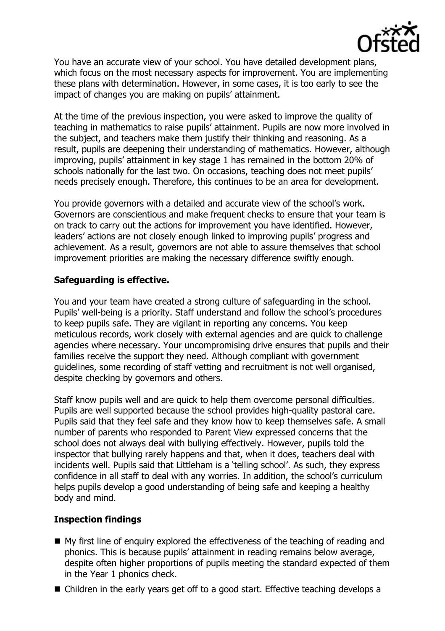

You have an accurate view of your school. You have detailed development plans, which focus on the most necessary aspects for improvement. You are implementing these plans with determination. However, in some cases, it is too early to see the impact of changes you are making on pupils' attainment.

At the time of the previous inspection, you were asked to improve the quality of teaching in mathematics to raise pupils' attainment. Pupils are now more involved in the subject, and teachers make them justify their thinking and reasoning. As a result, pupils are deepening their understanding of mathematics. However, although improving, pupils' attainment in key stage 1 has remained in the bottom 20% of schools nationally for the last two. On occasions, teaching does not meet pupils' needs precisely enough. Therefore, this continues to be an area for development.

You provide governors with a detailed and accurate view of the school's work. Governors are conscientious and make frequent checks to ensure that your team is on track to carry out the actions for improvement you have identified. However, leaders' actions are not closely enough linked to improving pupils' progress and achievement. As a result, governors are not able to assure themselves that school improvement priorities are making the necessary difference swiftly enough.

# **Safeguarding is effective.**

You and your team have created a strong culture of safeguarding in the school. Pupils' well-being is a priority. Staff understand and follow the school's procedures to keep pupils safe. They are vigilant in reporting any concerns. You keep meticulous records, work closely with external agencies and are quick to challenge agencies where necessary. Your uncompromising drive ensures that pupils and their families receive the support they need. Although compliant with government guidelines, some recording of staff vetting and recruitment is not well organised, despite checking by governors and others.

Staff know pupils well and are quick to help them overcome personal difficulties. Pupils are well supported because the school provides high-quality pastoral care. Pupils said that they feel safe and they know how to keep themselves safe. A small number of parents who responded to Parent View expressed concerns that the school does not always deal with bullying effectively. However, pupils told the inspector that bullying rarely happens and that, when it does, teachers deal with incidents well. Pupils said that Littleham is a 'telling school'. As such, they express confidence in all staff to deal with any worries. In addition, the school's curriculum helps pupils develop a good understanding of being safe and keeping a healthy body and mind.

## **Inspection findings**

- My first line of enguiry explored the effectiveness of the teaching of reading and phonics. This is because pupils' attainment in reading remains below average, despite often higher proportions of pupils meeting the standard expected of them in the Year 1 phonics check.
- Children in the early years get off to a good start. Effective teaching develops a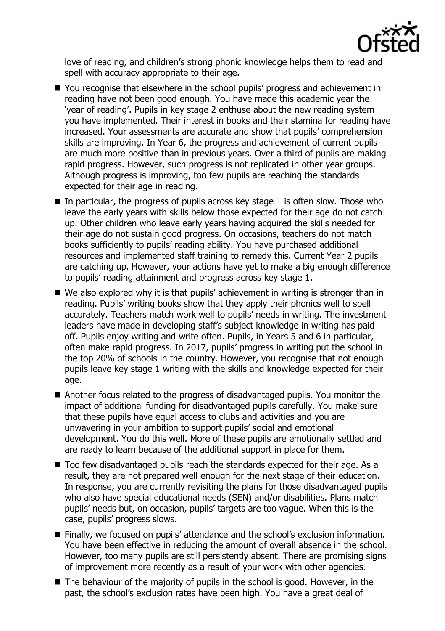

love of reading, and children's strong phonic knowledge helps them to read and spell with accuracy appropriate to their age.

- You recognise that elsewhere in the school pupils' progress and achievement in reading have not been good enough. You have made this academic year the 'year of reading'. Pupils in key stage 2 enthuse about the new reading system you have implemented. Their interest in books and their stamina for reading have increased. Your assessments are accurate and show that pupils' comprehension skills are improving. In Year 6, the progress and achievement of current pupils are much more positive than in previous years. Over a third of pupils are making rapid progress. However, such progress is not replicated in other year groups. Although progress is improving, too few pupils are reaching the standards expected for their age in reading.
- In particular, the progress of pupils across key stage 1 is often slow. Those who leave the early years with skills below those expected for their age do not catch up. Other children who leave early years having acquired the skills needed for their age do not sustain good progress. On occasions, teachers do not match books sufficiently to pupils' reading ability. You have purchased additional resources and implemented staff training to remedy this. Current Year 2 pupils are catching up. However, your actions have yet to make a big enough difference to pupils' reading attainment and progress across key stage 1.
- We also explored why it is that pupils' achievement in writing is stronger than in reading. Pupils' writing books show that they apply their phonics well to spell accurately. Teachers match work well to pupils' needs in writing. The investment leaders have made in developing staff's subject knowledge in writing has paid off. Pupils enjoy writing and write often. Pupils, in Years 5 and 6 in particular, often make rapid progress. In 2017, pupils' progress in writing put the school in the top 20% of schools in the country. However, you recognise that not enough pupils leave key stage 1 writing with the skills and knowledge expected for their age.
- Another focus related to the progress of disadvantaged pupils. You monitor the impact of additional funding for disadvantaged pupils carefully. You make sure that these pupils have equal access to clubs and activities and you are unwavering in your ambition to support pupils' social and emotional development. You do this well. More of these pupils are emotionally settled and are ready to learn because of the additional support in place for them.
- Too few disadvantaged pupils reach the standards expected for their age. As a result, they are not prepared well enough for the next stage of their education. In response, you are currently revisiting the plans for those disadvantaged pupils who also have special educational needs (SEN) and/or disabilities. Plans match pupils' needs but, on occasion, pupils' targets are too vague. When this is the case, pupils' progress slows.
- Finally, we focused on pupils' attendance and the school's exclusion information. You have been effective in reducing the amount of overall absence in the school. However, too many pupils are still persistently absent. There are promising signs of improvement more recently as a result of your work with other agencies.
- $\blacksquare$  The behaviour of the majority of pupils in the school is good. However, in the past, the school's exclusion rates have been high. You have a great deal of